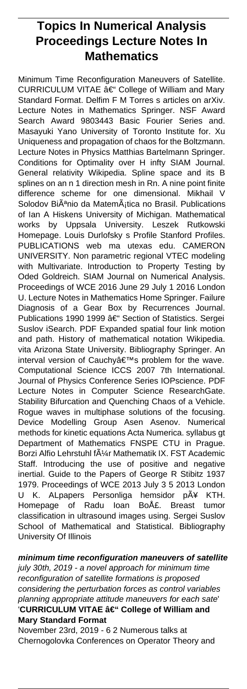# **Topics In Numerical Analysis Proceedings Lecture Notes In Mathematics**

Minimum Time Reconfiguration Maneuvers of Satellite. CURRICULUM VITAE  $\hat{a}\in$ " College of William and Mary Standard Format. Delfim F M Torres s articles on arXiv. Lecture Notes in Mathematics Springer. NSF Award Search Award 9803443 Basic Fourier Series and. Masayuki Yano University of Toronto Institute for. Xu Uniqueness and propagation of chaos for the Boltzmann. Lecture Notes in Physics Matthias Bartelmann Springer. Conditions for Optimality over H infty SIAM Journal. General relativity Wikipedia. Spline space and its B splines on an n 1 direction mesh in Rn. A nine point finite difference scheme for one dimensional. Mikhail Solodov Biênio da Matemática no Brasil. Publications of Ian A Hiskens University of Michigan. Mathematical works by Uppsala University. Leszek Rutkowski Homepage. Louis Durlofsky s Profile Stanford Profiles. PUBLICATIONS web ma utexas edu. CAMERON UNIVERSITY. Non parametric regional VTEC modeling with Multivariate. Introduction to Property Testing by Oded Goldreich. SIAM Journal on Numerical Analysis. Proceedings of WCE 2016 June 29 July 1 2016 London U. Lecture Notes in Mathematics Home Springer. Failure Diagnosis of a Gear Box by Recurrences Journal. Publications 1990 1999 – Section of Statistics. Sergei Suslov iSearch. PDF Expanded spatial four link motion and path. History of mathematical notation Wikipedia. vita Arizona State University. Bibliography Springer. An interval version of Cauchy's problem for the wave. Computational Science ICCS 2007 7th International. Journal of Physics Conference Series IOPscience. PDF Lecture Notes in Computer Science ResearchGate. Stability Bifurcation and Quenching Chaos of a Vehicle. Rogue waves in multiphase solutions of the focusing. Device Modelling Group Asen Asenov. Numerical methods for kinetic equations Acta Numerica. syllabus gt Department of Mathematics FNSPE CTU in Prague. Borzi Alfio Lehrstuhl f $\tilde{A}$ 1/<sub>4</sub>r Mathematik IX. FST Academic Staff. Introducing the use of positive and negative inertial. Guide to the Papers of George R Stibitz 1937 1979. Proceedings of WCE 2013 July 3 5 2013 London U K. ALpapers Personliga hemsidor pť KTH. Homepage of Radu Ioan Boţ. Breast tumor classification in ultrasound images using. Sergei Suslov School of Mathematical and Statistical. Bibliography University Of Illinois

**minimum time reconfiguration maneuvers of satellite** july 30th, 2019 - a novel approach for minimum time reconfiguration of satellite formations is proposed considering the perturbation forces as control variables planning appropriate attitude maneuvers for each sate' 'CURRICULUM VITAE â€" College of William and **Mary Standard Format**

November 23rd, 2019 - 6 2 Numerous talks at Chernogolovka Conferences on Operator Theory and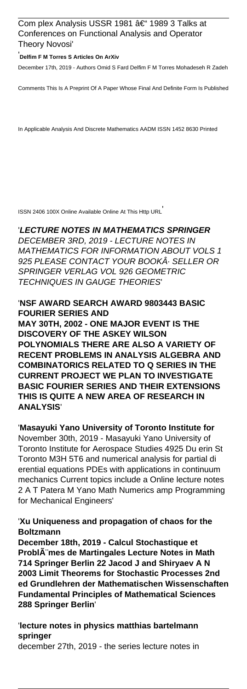### Com plex Analysis USSR 1981  $âf$  1989 3 Talks at Conferences on Functional Analysis and Operator Theory Novosi'

#### '**Delfim F M Torres S Articles On ArXiv**

December 17th, 2019 - Authors Omid S Fard Delfim F M Torres Mohadeseh R Zadeh

Comments This Is A Preprint Of A Paper Whose Final And Definite Form Is Published

In Applicable Analysis And Discrete Mathematics AADM ISSN 1452 8630 Printed

ISSN 2406 100X Online Available Online At This Http URL'

# '**LECTURE NOTES IN MATHEMATICS SPRINGER** DECEMBER 3RD, 2019 - LECTURE NOTES IN MATHEMATICS FOR INFORMATION ABOUT VOLS 1 925 PLEASE CONTACT YOUR BOOKA SELLER OR SPRINGER VERLAG VOL 926 GEOMETRIC TECHNIQUES IN GAUGE THEORIES'

### '**NSF AWARD SEARCH AWARD 9803443 BASIC FOURIER SERIES AND MAY 30TH, 2002 - ONE MAJOR EVENT IS THE DISCOVERY OF THE ASKEY WILSON POLYNOMIALS THERE ARE ALSO A VARIETY OF RECENT PROBLEMS IN ANALYSIS ALGEBRA AND COMBINATORICS RELATED TO Q SERIES IN THE CURRENT PROJECT WE PLAN TO INVESTIGATE BASIC FOURIER SERIES AND THEIR EXTENSIONS THIS IS QUITE A NEW AREA OF RESEARCH IN ANALYSIS**'

# '**Masayuki Yano University of Toronto Institute for** November 30th, 2019 - Masayuki Yano University of Toronto Institute for Aerospace Studies 4925 Du erin St Toronto M3H 5T6 and numerical analysis for partial di erential equations PDEs with applications in continuum

mechanics Current topics include a Online lecture notes 2 A T Patera M Yano Math Numerics amp Programming for Mechanical Engineers'

### '**Xu Uniqueness and propagation of chaos for the Boltzmann**

**December 18th, 2019 - Calcul Stochastique et ProblA** mes de Martingales Lecture Notes in Math **714 Springer Berlin 22 Jacod J and Shiryaev A N 2003 Limit Theorems for Stochastic Processes 2nd ed Grundlehren der Mathematischen Wissenschaften Fundamental Principles of Mathematical Sciences 288 Springer Berlin**'

'**lecture notes in physics matthias bartelmann springer** december 27th, 2019 - the series lecture notes in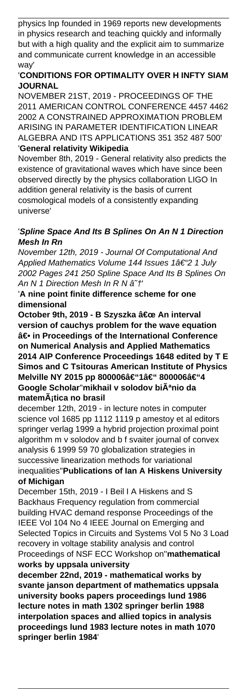physics lnp founded in 1969 reports new developments in physics research and teaching quickly and informally but with a high quality and the explicit aim to summarize and communicate current knowledge in an accessible way'

# '**CONDITIONS FOR OPTIMALITY OVER H INFTY SIAM JOURNAL**

NOVEMBER 21ST, 2019 - PROCEEDINGS OF THE 2011 AMERICAN CONTROL CONFERENCE 4457 4462 2002 A CONSTRAINED APPROXIMATION PROBLEM ARISING IN PARAMETER IDENTIFICATION LINEAR ALGEBRA AND ITS APPLICATIONS 351 352 487 500' '**General relativity Wikipedia**

November 8th, 2019 - General relativity also predicts the existence of gravitational waves which have since been observed directly by the physics collaboration LIGO In addition general relativity is the basis of current cosmological models of a consistently expanding universe'

# '**Spline Space And Its B Splines On An N 1 Direction Mesh In Rn**

November 12th, 2019 - Journal Of Computational And Applied Mathematics Volume 144 Issues 1†"2 1 July 2002 Pages 241 250 Spline Space And Its B Splines On An N 1 Direction Mesh In R N  $\hat{a}^+$ 

'**A nine point finite difference scheme for one dimensional**

**October 9th, 2019 - B Szyszka " An interval version of cauchys problem for the wave equation ― in Proceedings of the International Conference on Numerical Analysis and Applied Mathematics 2014 AIP Conference Proceedings 1648 edited by T E Simos and C Tsitouras American Institute of Physics Melville NY 2015 pp 800006–1– 800006–4** Google Scholar<sup>"</sup>mikhail v solodov biÂ<sup>a</sup>nio da matemÂ<sub>i</sub>tica no brasil

december 12th, 2019 - in lecture notes in computer science vol 1685 pp 1112 1119 p amestoy et al editors springer verlag 1999 a hybrid projection proximal point algorithm m v solodov and b f svaiter journal of convex analysis 6 1999 59 70 globalization strategies in successive linearization methods for variational inequalities''**Publications of Ian A Hiskens University of Michigan**

December 15th, 2019 - I Beil I A Hiskens and S Backhaus Frequency regulation from commercial building HVAC demand response Proceedings of the IEEE Vol 104 No 4 IEEE Journal on Emerging and Selected Topics in Circuits and Systems Vol 5 No 3 Load recovery in voltage stability analysis and control Proceedings of NSF ECC Workshop on''**mathematical works by uppsala university**

**december 22nd, 2019 - mathematical works by svante janson department of mathematics uppsala university books papers proceedings lund 1986 lecture notes in math 1302 springer berlin 1988 interpolation spaces and allied topics in analysis proceedings lund 1983 lecture notes in math 1070 springer berlin 1984**'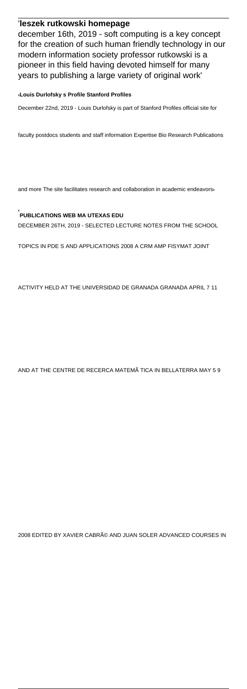### '**leszek rutkowski homepage**

december 16th, 2019 - soft computing is a key concept for the creation of such human friendly technology in our modern information society professor rutkowski is a pioneer in this field having devoted himself for many years to publishing a large variety of original work'

#### '**Louis Durlofsky s Profile Stanford Profiles**

December 22nd, 2019 - Louis Durlofsky is part of Stanford Profiles official site for

faculty postdocs students and staff information Expertise Bio Research Publications

and more The site facilitates research and collaboration in academic endeavors

#### '**PUBLICATIONS WEB MA UTEXAS EDU**

DECEMBER 26TH, 2019 - SELECTED LECTURE NOTES FROM THE SCHOOL

TOPICS IN PDE S AND APPLICATIONS 2008 A CRM AMP FISYMAT JOINT

ACTIVITY HELD AT THE UNIVERSIDAD DE GRANADA GRANADA APRIL 7 11

#### AND AT THE CENTRE DE RECERCA MATEMÃ TICA IN BELLATERRA MAY 5 9

2008 EDITED BY XAVIER CABRé AND JUAN SOLER ADVANCED COURSES IN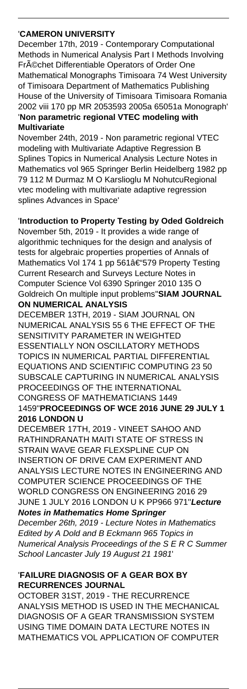### '**CAMERON UNIVERSITY**

December 17th, 2019 - Contemporary Computational Methods in Numerical Analysis Part I Methods Involving Fr<sub>A</sub>©chet Differentiable Operators of Order One Mathematical Monographs Timisoara 74 West University of Timisoara Department of Mathematics Publishing House of the University of Timisoara Timisoara Romania 2002 viii 170 pp MR 2053593 2005a 65051a Monograph' '**Non parametric regional VTEC modeling with Multivariate**

November 24th, 2019 - Non parametric regional VTEC modeling with Multivariate Adaptive Regression B Splines Topics in Numerical Analysis Lecture Notes in Mathematics vol 965 Springer Berlin Heidelberg 1982 pp 79 112 M Durmaz M O Karslioglu M NohutcuRegional vtec modeling with multivariate adaptive regression splines Advances in Space'

# '**Introduction to Property Testing by Oded Goldreich**

November 5th, 2019 - It provides a wide range of algorithmic techniques for the design and analysis of tests for algebraic properties properties of Annals of Mathematics Vol 174 1 pp 561†579 Property Testing Current Research and Surveys Lecture Notes in Computer Science Vol 6390 Springer 2010 135 O Goldreich On multiple input problems''**SIAM JOURNAL ON NUMERICAL ANALYSIS**

DECEMBER 13TH, 2019 - SIAM JOURNAL ON NUMERICAL ANALYSIS 55 6 THE EFFECT OF THE SENSITIVITY PARAMETER IN WEIGHTED ESSENTIALLY NON OSCILLATORY METHODS TOPICS IN NUMERICAL PARTIAL DIFFERENTIAL EQUATIONS AND SCIENTIFIC COMPUTING 23 50 SUBSCALE CAPTURING IN NUMERICAL ANALYSIS PROCEEDINGS OF THE INTERNATIONAL CONGRESS OF MATHEMATICIANS 1449 1459''**PROCEEDINGS OF WCE 2016 JUNE 29 JULY 1 2016 LONDON U**

DECEMBER 17TH, 2019 - VINEET SAHOO AND RATHINDRANATH MAITI STATE OF STRESS IN STRAIN WAVE GEAR FLEXSPLINE CUP ON INSERTION OF DRIVE CAM EXPERIMENT AND ANALYSIS LECTURE NOTES IN ENGINEERING AND COMPUTER SCIENCE PROCEEDINGS OF THE WORLD CONGRESS ON ENGINEERING 2016 29 JUNE 1 JULY 2016 LONDON U K PP966 971''**Lecture**

### **Notes in Mathematics Home Springer**

December 26th, 2019 - Lecture Notes in Mathematics Edited by A Dold and B Eckmann 965 Topics in Numerical Analysis Proceedings of the S E R C Summer School Lancaster July 19 August 21 1981'

# '**FAILURE DIAGNOSIS OF A GEAR BOX BY RECURRENCES JOURNAL**

OCTOBER 31ST, 2019 - THE RECURRENCE ANALYSIS METHOD IS USED IN THE MECHANICAL DIAGNOSIS OF A GEAR TRANSMISSION SYSTEM USING TIME DOMAIN DATA LECTURE NOTES IN MATHEMATICS VOL APPLICATION OF COMPUTER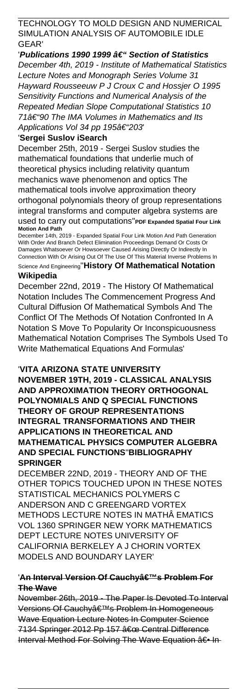### TECHNOLOGY TO MOLD DESIGN AND NUMERICAL SIMULATION ANALYSIS OF AUTOMOBILE IDLE GEAR'

'Publications 1990 1999 †" Section of Statistics December 4th, 2019 - Institute of Mathematical Statistics Lecture Notes and Monograph Series Volume 31 Hayward Rousseeuw P J Croux C and Hossjer O 1995 Sensitivity Functions and Numerical Analysis of the Repeated Median Slope Computational Statistics 10  $71$ †"90 The IMA Volumes in Mathematics and Its Applications Vol 34 pp 195 $\hat{\sigma}$   $\leq$  203

#### '**Sergei Suslov iSearch**

December 25th, 2019 - Sergei Suslov studies the mathematical foundations that underlie much of theoretical physics including relativity quantum mechanics wave phenomenon and optics The mathematical tools involve approximation theory orthogonal polynomials theory of group representations integral transforms and computer algebra systems are used to carry out computations''**PDF Expanded Spatial Four Link Motion And Path**

December 14th, 2019 - Expanded Spatial Four Link Motion And Path Generation With Order And Branch Defect Elimination Proceedings Demand Or Costs Or Damages Whatsoever Or Howsoever Caused Arising Directly Or Indirectly In Connection With Or Arising Out Of The Use Of This Material Inverse Problems In

Science And Engineering''**History Of Mathematical Notation Wikipedia**

December 22nd, 2019 - The History Of Mathematical Notation Includes The Commencement Progress And Cultural Diffusion Of Mathematical Symbols And The Conflict Of The Methods Of Notation Confronted In A Notation S Move To Popularity Or Inconspicuousness Mathematical Notation Comprises The Symbols Used To Write Mathematical Equations And Formulas'

#### '**VITA ARIZONA STATE UNIVERSITY**

**NOVEMBER 19TH, 2019 - CLASSICAL ANALYSIS AND APPROXIMATION THEORY ORTHOGONAL POLYNOMIALS AND Q SPECIAL FUNCTIONS THEORY OF GROUP REPRESENTATIONS INTEGRAL TRANSFORMATIONS AND THEIR APPLICATIONS IN THEORETICAL AND MATHEMATICAL PHYSICS COMPUTER ALGEBRA AND SPECIAL FUNCTIONS**''**BIBLIOGRAPHY SPRINGER**

DECEMBER 22ND, 2019 - THEORY AND OF THE OTHER TOPICS TOUCHED UPON IN THESE NOTES STATISTICAL MECHANICS POLYMERS C ANDERSON AND C GREENGARD VORTEX METHODS LECTURE NOTES IN MATHÂ EMATICS VOL 1360 SPRINGER NEW YORK MATHEMATICS DEPT LECTURE NOTES UNIVERSITY OF CALIFORNIA BERKELEY A J CHORIN VORTEX MODELS AND BOUNDARY LAYER'

### 'A<del>n Interval Version Of Cauchy's Problem For</del> **The Wave**

November 26th, 2019 - The Paper Is Devoted To Interval Versions Of Cauchy's Problem In Homogeneous Wave Equation Lecture Notes In Computer Science 7134 Springer 2012 Pp 157 " Central Difference Interval Method For Solving The Wave Equation  $a \in \mathbb{I}$ n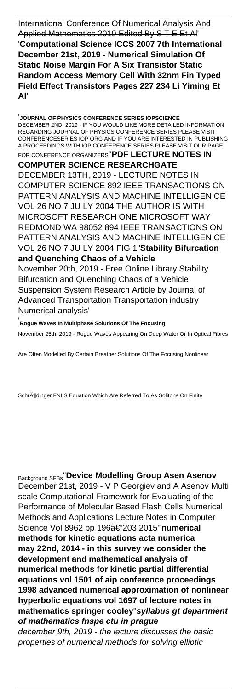International Conference Of Numerical Analysis And Applied Mathematics 2010 Edited By S T E Et Al' '**Computational Science ICCS 2007 7th International December 21st, 2019 - Numerical Simulation Of Static Noise Margin For A Six Transistor Static Random Access Memory Cell With 32nm Fin Typed Field Effect Transistors Pages 227 234 Li Yiming Et Al**'

'**JOURNAL OF PHYSICS CONFERENCE SERIES IOPSCIENCE** DECEMBER 2ND, 2019 - IF YOU WOULD LIKE MORE DETAILED INFORMATION REGARDING JOURNAL OF PHYSICS CONFERENCE SERIES PLEASE VISIT CONFERENCESERIES IOP ORG AND IF YOU ARE INTERESTED IN PUBLISHING A PROCEEDINGS WITH IOP CONFERENCE SERIES PLEASE VISIT OUR PAGE FOR CONFERENCE ORGANIZERS''**PDF LECTURE NOTES IN COMPUTER SCIENCE RESEARCHGATE** DECEMBER 13TH, 2019 - LECTURE NOTES IN COMPUTER SCIENCE 892 IEEE TRANSACTIONS ON PATTERN ANALYSIS AND MACHINE INTELLIGEN CE VOL 26 NO 7 JU LY 2004 THE AUTHOR IS WITH MICROSOFT RESEARCH ONE MICROSOFT WAY REDMOND WA 98052 894 IEEE TRANSACTIONS ON PATTERN ANALYSIS AND MACHINE INTELLIGEN CE VOL 26 NO 7 JU LY 2004 FIG 1''**Stability Bifurcation and Quenching Chaos of a Vehicle** November 20th, 2019 - Free Online Library Stability Bifurcation and Quenching Chaos of a Vehicle Suspension System Research Article by Journal of Advanced Transportation Transportation industry Numerical analysis'

'**Rogue Waves In Multiphase Solutions Of The Focusing** November 25th, 2019 - Rogue Waves Appearing On Deep Water Or In Optical Fibres

Are Often Modelled By Certain Breather Solutions Of The Focusing Nonlinear

SchrĶdinger FNLS Equation Which Are Referred To As Solitons On Finite

Background SFBs''**Device Modelling Group Asen Asenov** December 21st, 2019 - V P Georgiev and A Asenov Multi scale Computational Framework for Evaluating of the Performance of Molecular Based Flash Cells Numerical Methods and Applications Lecture Notes in Computer Science Vol 8962 pp 196â€"203 2015"numerical **methods for kinetic equations acta numerica may 22nd, 2014 - in this survey we consider the development and mathematical analysis of numerical methods for kinetic partial differential equations vol 1501 of aip conference proceedings 1998 advanced numerical approximation of nonlinear hyperbolic equations vol 1697 of lecture notes in mathematics springer cooley**''**syllabus gt department of mathematics fnspe ctu in prague**

december 9th, 2019 - the lecture discusses the basic properties of numerical methods for solving elliptic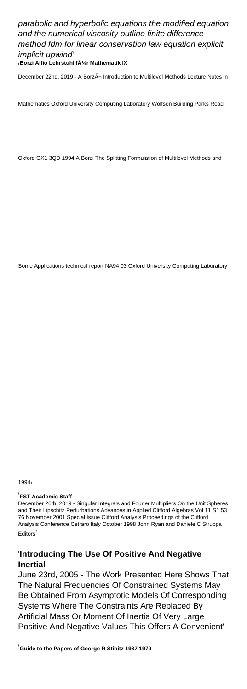# parabolic and hyperbolic equations the modified equation and the numerical viscosity outline finite difference method fdm for linear conservation law equation explicit implicit upwind'

'**Borzi Alfio Lehrstuhl für Mathematik IX**

December 22nd, 2019 - A Borzì Introduction to Multilevel Methods Lecture Notes in

Mathematics Oxford University Computing Laboratory Wolfson Building Parks Road

Oxford OX1 3QD 1994 A Borzi The Splitting Formulation of Multilevel Methods and

Some Applications technical report NA94 03 Oxford University Computing Laboratory

1994'

#### '**FST Academic Staff**

December 26th, 2019 - Singular Integrals and Fourier Multipliers On the Unit Spheres and Their Lipschitz Perturbations Advances in Applied Clifford Algebras Vol 11 S1 53 76 November 2001 Special Issue Clifford Analysis Proceedings of the Clifford Analysis Conference Cetraro Italy October 1998 John Ryan and Daniele C Struppa **Editors** 

#### '**Introducing The Use Of Positive And Negative Inertial**

June 23rd, 2005 - The Work Presented Here Shows That The Natural Frequencies Of Constrained Systems May Be Obtained From Asymptotic Models Of Corresponding Systems Where The Constraints Are Replaced By Artificial Mass Or Moment Of Inertia Of Very Large Positive And Negative Values This Offers A Convenient'